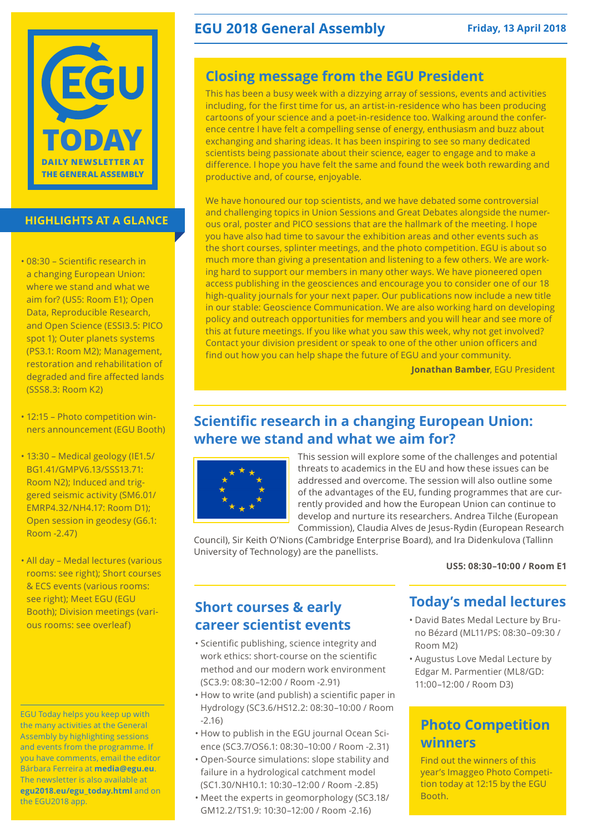

### **HIGHLIGHTS AT A GLANCE**

- • 08:30 Scientific research in a changing European Union: where we stand and what we aim for? (US5: Room E1); Open Data, Reproducible Research, and Open Science (ESSI3.5: PICO spot 1); Outer planets systems (PS3.1: Room M2); Management, restoration and rehabilitation of degraded and fire affected lands (SSS8.3: Room K2)
- 12:15 Photo competition winners announcement (EGU Booth)
- • 13:30 Medical geology (IE1.5/ BG1.41/GMPV6.13/SSS13.71: Room N2); Induced and triggered seismic activity (SM6.01/ EMRP4.32/NH4.17: Room D1); Open session in geodesy (G6.1: Room -2.47)
- All day Medal lectures (various rooms: see right); Short courses & ECS events (various rooms: see right); Meet EGU (EGU Booth); Division meetings (various rooms: see overleaf)

EGU Today helps you keep up with the many activities at the General Assembly by highlighting sessions and events from the programme. If you have comments, email the editor Bárbara Ferreira at **media@egu.eu**. The newsletter is also available at **egu2018.eu/egu\_today.html** and on the EGU2018 app.

### **EGU 2018 General Assembly** Friday, 13 April 2018

## **Closing message from the EGU President**

This has been a busy week with a dizzying array of sessions, events and activities including, for the first time for us, an artist-in-residence who has been producing cartoons of your science and a poet-in-residence too. Walking around the conference centre I have felt a compelling sense of energy, enthusiasm and buzz about exchanging and sharing ideas. It has been inspiring to see so many dedicated scientists being passionate about their science, eager to engage and to make a difference. I hope you have felt the same and found the week both rewarding and productive and, of course, enjoyable.

We have honoured our top scientists, and we have debated some controversial and challenging topics in Union Sessions and Great Debates alongside the numerous oral, poster and PICO sessions that are the hallmark of the meeting. I hope you have also had time to savour the exhibition areas and other events such as the short courses, splinter meetings, and the photo competition. EGU is about so much more than giving a presentation and listening to a few others. We are working hard to support our members in many other ways. We have pioneered open access publishing in the geosciences and encourage you to consider one of our 18 high-quality journals for your next paper. Our publications now include a new title in our stable: Geoscience Communication. We are also working hard on developing policy and outreach opportunities for members and you will hear and see more of this at future meetings. If you like what you saw this week, why not get involved? Contact your division president or speak to one of the other union officers and find out how you can help shape the future of EGU and your community.

**Jonathan Bamber**, EGU President

### **Scientific research in a changing European Union: where we stand and what we aim for?**



This session will explore some of the challenges and potential threats to academics in the EU and how these issues can be addressed and overcome. The session will also outline some of the advantages of the EU, funding programmes that are currently provided and how the European Union can continue to develop and nurture its researchers. Andrea Tilche (European Commission), Claudia Alves de Jesus-Rydin (European Research

Council), Sir Keith O'Nions (Cambridge Enterprise Board), and Ira Didenkulova (Tallinn University of Technology) are the panellists.

**US5: 08:30–10:00 / Room E1**

### **Short courses & early career scientist events**

- • Scientific publishing, science integrity and work ethics: short-course on the scientific method and our modern work environment (SC3.9: 08:30–12:00 / Room -2.91)
- • How to write (and publish) a scientific paper in Hydrology (SC3.6/HS12.2: 08:30–10:00 / Room -2.16)
- • How to publish in the EGU journal Ocean Science (SC3.7/OS6.1: 08:30–10:00 / Room -2.31)
- • Open-Source simulations: slope stability and failure in a hydrological catchment model (SC1.30/NH10.1: 10:30–12:00 / Room -2.85)
- • Meet the experts in geomorphology (SC3.18/ GM12.2/TS1.9: 10:30–12:00 / Room -2.16)

### **Today's medal lectures**

- • David Bates Medal Lecture by Bruno Bézard (ML11/PS: 08:30–09:30 / Room M2)
- • Augustus Love Medal Lecture by Edgar M. Parmentier (ML8/GD: 11:00–12:00 / Room D3)

# **Photo Competition winners**

Find out the winners of this year's Imaggeo Photo Competition today at 12:15 by the EGU Booth.